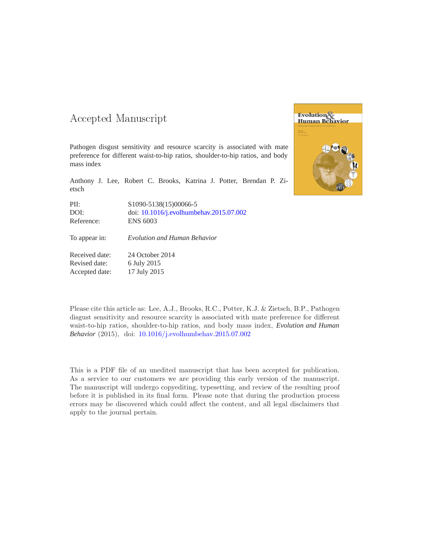## -- -

Pathogen disgust sensitivity and resource scarcity is associated with mate preference for different waist-to-hip ratios, shoulder-to-hip ratios, and body mass index

Anthony J. Lee, Robert C. Brooks, Katrina J. Potter, Brendan P. Zietsch

PII: S1090-5138(15)00066-5 DOI: doi: [10.1016/j.evolhumbehav.2015.07.002](http://dx.doi.org/10.1016/j.evolhumbehav.2015.07.002) Reference: ENS 6003

To appear in: *Evolution and Human Behavior*

Received date: 24 October 2014 Revised date: 6 July 2015 Accepted date: 17 July 2015

Please cite this article as: Lee, A.J., Brooks, R.C., Potter, K.J. & Zietsch, B.P., Pathogen disgust sensitivity and resource scarcity is associated with mate preference for different waist-to-hip ratios, shoulder-to-hip ratios, and body mass index, *Evolution and Human Behavior* (2015), doi: [10.1016/j.evolhumbehav.2015.07.002](http://dx.doi.org/10.1016/j.evolhumbehav.2015.07.002)

This is a PDF file of an unedited manuscript that has been accepted for publication. As a service to our customers we are providing this early version of the manuscript. The manuscript will undergo copyediting, typesetting, and review of the resulting proof before it is published in its final form. Please note that during the production process errors may be discovered which could affect the content, and all legal disclaimers that apply to the journal pertain.

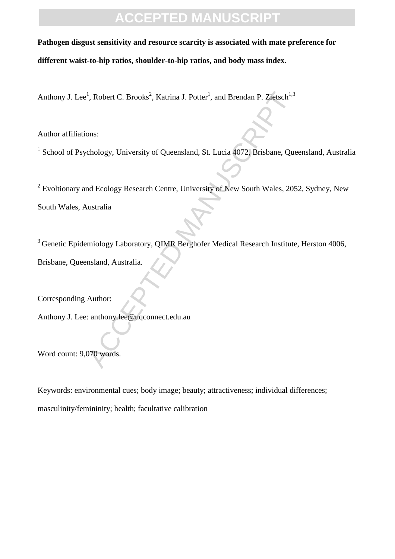## **ACCEPTED MANUSCRIPT**

**Pathogen disgust sensitivity and resource scarcity is associated with mate preference for** 

**different waist-to-hip ratios, shoulder-to-hip ratios, and body mass index.** 

Anthony J. Lee<sup>1</sup>, Robert C. Brooks<sup>2</sup>, Katrina J. Potter<sup>1</sup>, and Brendan P. Zietsch<sup>1,3</sup>

Author affiliations:

<sup>1</sup> School of Psychology, University of Queensland, St. Lucia 4072, Brisbane, Queensland, Australia

<sup>1</sup>, Robert C. Brooks<sup>2</sup>, Katrina J. Potter<sup>1</sup>, and Brendan P. Zietsch<sup>1,3</sup><br>
ons:<br>
chology, University of Queensland, St. Lucia 4072, Brisbane, Que<br>
and Ecology Research Centre, University of New South Wales, 205<br>
ustralia  $2^{2}$  Evoltionary and Ecology Research Centre, University of New South Wales, 2052, Sydney, New South Wales, Australia

<sup>3</sup> Genetic Epidemiology Laboratory, QIMR Berghofer Medical Research Institute, Herston 4006, Brisbane, Queensland, Australia.

Corresponding Author:

Anthony J. Lee: anthony.lee@uqconnect.edu.au

Word count: 9,070 words.

Keywords: environmental cues; body image; beauty; attractiveness; individual differences; masculinity/femininity; health; facultative calibration